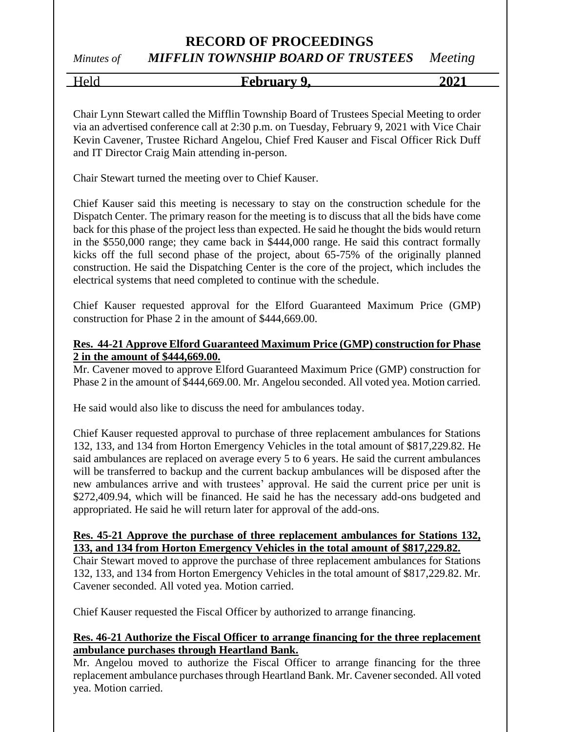## **RECORD OF PROCEEDINGS**

# *Minutes of MIFFLIN TOWNSHIP BOARD OF TRUSTEES Meeting*

Held **February 9, 2021**

Chair Lynn Stewart called the Mifflin Township Board of Trustees Special Meeting to order via an advertised conference call at 2:30 p.m. on Tuesday, February 9, 2021 with Vice Chair Kevin Cavener, Trustee Richard Angelou, Chief Fred Kauser and Fiscal Officer Rick Duff and IT Director Craig Main attending in-person.

Chair Stewart turned the meeting over to Chief Kauser.

Chief Kauser said this meeting is necessary to stay on the construction schedule for the Dispatch Center. The primary reason for the meeting is to discuss that all the bids have come back for this phase of the project less than expected. He said he thought the bids would return in the \$550,000 range; they came back in \$444,000 range. He said this contract formally kicks off the full second phase of the project, about 65-75% of the originally planned construction. He said the Dispatching Center is the core of the project, which includes the electrical systems that need completed to continue with the schedule.

Chief Kauser requested approval for the Elford Guaranteed Maximum Price (GMP) construction for Phase 2 in the amount of \$444,669.00.

#### **Res. 44-21 Approve Elford Guaranteed Maximum Price (GMP) construction for Phase 2 in the amount of \$444,669.00.**

Mr. Cavener moved to approve Elford Guaranteed Maximum Price (GMP) construction for Phase 2 in the amount of \$444,669.00. Mr. Angelou seconded. All voted yea. Motion carried.

He said would also like to discuss the need for ambulances today.

Chief Kauser requested approval to purchase of three replacement ambulances for Stations 132, 133, and 134 from Horton Emergency Vehicles in the total amount of \$817,229.82. He said ambulances are replaced on average every 5 to 6 years. He said the current ambulances will be transferred to backup and the current backup ambulances will be disposed after the new ambulances arrive and with trustees' approval. He said the current price per unit is \$272,409.94, which will be financed. He said he has the necessary add-ons budgeted and appropriated. He said he will return later for approval of the add-ons.

#### **Res. 45-21 Approve the purchase of three replacement ambulances for Stations 132, 133, and 134 from Horton Emergency Vehicles in the total amount of \$817,229.82.**

Chair Stewart moved to approve the purchase of three replacement ambulances for Stations 132, 133, and 134 from Horton Emergency Vehicles in the total amount of \$817,229.82. Mr. Cavener seconded. All voted yea. Motion carried.

Chief Kauser requested the Fiscal Officer by authorized to arrange financing.

#### **Res. 46-21 Authorize the Fiscal Officer to arrange financing for the three replacement ambulance purchases through Heartland Bank.**

Mr. Angelou moved to authorize the Fiscal Officer to arrange financing for the three replacement ambulance purchases through Heartland Bank. Mr. Cavener seconded. All voted yea. Motion carried.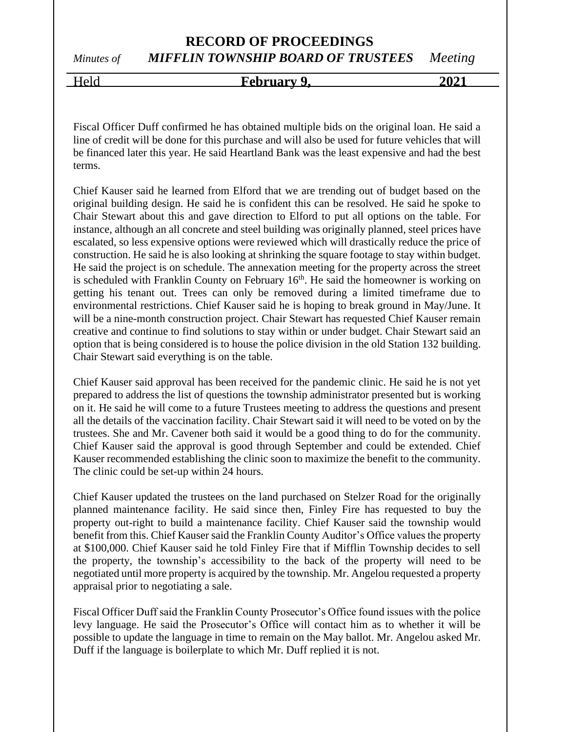**RECORD OF PROCEEDINGS** *Minutes of MIFFLIN TOWNSHIP BOARD OF TRUSTEES Meeting*

## Held **February 9, 2021**

Fiscal Officer Duff confirmed he has obtained multiple bids on the original loan. He said a line of credit will be done for this purchase and will also be used for future vehicles that will be financed later this year. He said Heartland Bank was the least expensive and had the best terms.

Chief Kauser said he learned from Elford that we are trending out of budget based on the original building design. He said he is confident this can be resolved. He said he spoke to Chair Stewart about this and gave direction to Elford to put all options on the table. For instance, although an all concrete and steel building was originally planned, steel prices have escalated, so less expensive options were reviewed which will drastically reduce the price of construction. He said he is also looking at shrinking the square footage to stay within budget. He said the project is on schedule. The annexation meeting for the property across the street is scheduled with Franklin County on February  $16<sup>th</sup>$ . He said the homeowner is working on getting his tenant out. Trees can only be removed during a limited timeframe due to environmental restrictions. Chief Kauser said he is hoping to break ground in May/June. It will be a nine-month construction project. Chair Stewart has requested Chief Kauser remain creative and continue to find solutions to stay within or under budget. Chair Stewart said an option that is being considered is to house the police division in the old Station 132 building. Chair Stewart said everything is on the table.

Chief Kauser said approval has been received for the pandemic clinic. He said he is not yet prepared to address the list of questions the township administrator presented but is working on it. He said he will come to a future Trustees meeting to address the questions and present all the details of the vaccination facility. Chair Stewart said it will need to be voted on by the trustees. She and Mr. Cavener both said it would be a good thing to do for the community. Chief Kauser said the approval is good through September and could be extended. Chief Kauser recommended establishing the clinic soon to maximize the benefit to the community. The clinic could be set-up within 24 hours.

Chief Kauser updated the trustees on the land purchased on Stelzer Road for the originally planned maintenance facility. He said since then, Finley Fire has requested to buy the property out-right to build a maintenance facility. Chief Kauser said the township would benefit from this. Chief Kauser said the Franklin County Auditor's Office values the property at \$100,000. Chief Kauser said he told Finley Fire that if Mifflin Township decides to sell the property, the township's accessibility to the back of the property will need to be negotiated until more property is acquired by the township. Mr. Angelou requested a property appraisal prior to negotiating a sale.

Fiscal Officer Duff said the Franklin County Prosecutor's Office found issues with the police levy language. He said the Prosecutor's Office will contact him as to whether it will be possible to update the language in time to remain on the May ballot. Mr. Angelou asked Mr. Duff if the language is boilerplate to which Mr. Duff replied it is not.